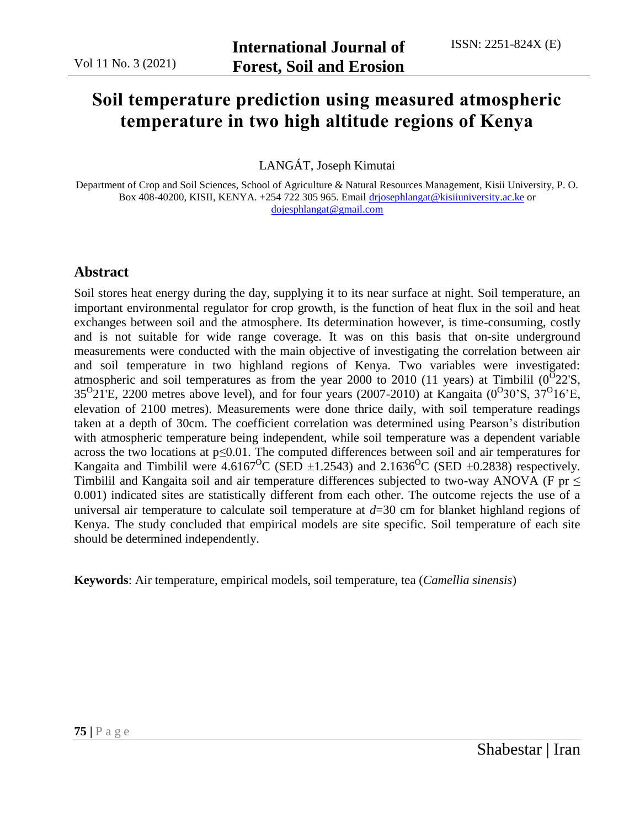# **Soil temperature prediction using measured atmospheric temperature in two high altitude regions of Kenya**

LANGÁT, Joseph Kimutai

Department of Crop and Soil Sciences, School of Agriculture & Natural Resources Management, Kisii University, P. O. Box 408-40200, KISII, KENYA. +254 722 305 965. Email [drjosephlangat@kisiiuniversity.ac.ke](mailto:drjosephlangat@kisiiuniversity.ac.ke) or [dojesphlangat@gmail.com](mailto:dojesphlangat@gmail.com)

## **Abstract**

Soil stores heat energy during the day, supplying it to its near surface at night. Soil temperature, an important environmental regulator for crop growth, is the function of heat flux in the soil and heat exchanges between soil and the atmosphere. Its determination however, is time-consuming, costly and is not suitable for wide range coverage. It was on this basis that on-site underground measurements were conducted with the main objective of investigating the correlation between air and soil temperature in two highland regions of Kenya. Two variables were investigated: atmospheric and soil temperatures as from the year 2000 to 2010 (11 years) at Timbilil  $(0^{\overline{O}}22^{\overline{S}})$ ,  $35^{O}21E$ , 2200 metres above level), and for four years (2007-2010) at Kangaita (0<sup>O</sup>30'S, 37<sup>O</sup>16'E, elevation of 2100 metres). Measurements were done thrice daily, with soil temperature readings taken at a depth of 30cm. The coefficient correlation was determined using Pearson's distribution with atmospheric temperature being independent, while soil temperature was a dependent variable across the two locations at p*≤*0.01. The computed differences between soil and air temperatures for Kangaita and Timbilil were  $4.6167^{\circ}$ C (SED  $\pm$ 1.2543) and 2.1636<sup>o</sup>C (SED  $\pm$ 0.2838) respectively. Timbilil and Kangaita soil and air temperature differences subjected to two-way ANOVA (F pr  $\leq$ 0.001) indicated sites are statistically different from each other. The outcome rejects the use of a universal air temperature to calculate soil temperature at *d*=30 cm for blanket highland regions of Kenya. The study concluded that empirical models are site specific. Soil temperature of each site should be determined independently.

**Keywords**: Air temperature, empirical models, soil temperature, tea (*Camellia sinensis*)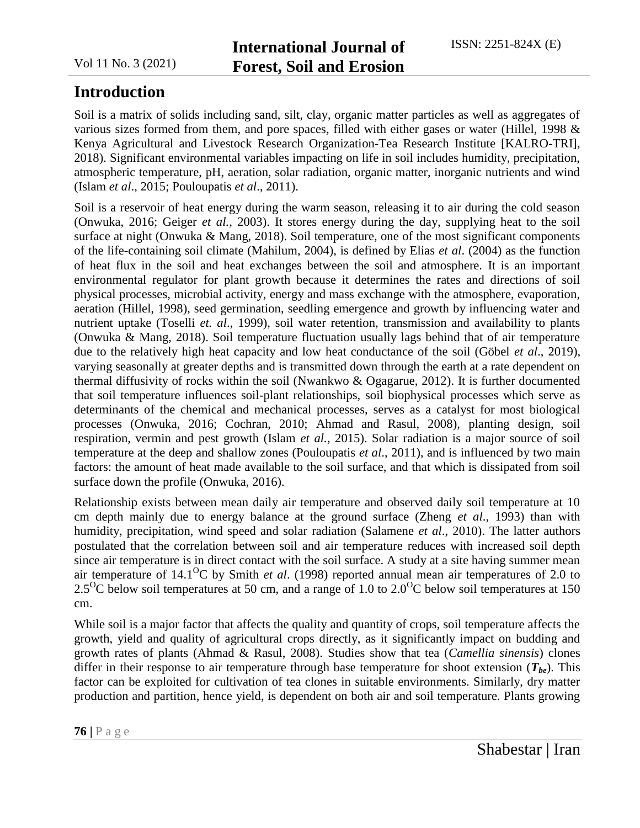# **Introduction**

Soil is a matrix of solids including sand, silt, clay, organic matter particles as well as aggregates of various sizes formed from them, and pore spaces, filled with either gases or water (Hillel, 1998 & Kenya Agricultural and Livestock Research Organization-Tea Research Institute [KALRO-TRI], 2018). Significant environmental variables impacting on life in soil includes humidity, precipitation, atmospheric temperature, pH, aeration, solar radiation, organic matter, inorganic nutrients and wind (Islam *et al*., 2015; Pouloupatis *et al*., 2011).

Soil is a reservoir of heat energy during the warm season, releasing it to air during the cold season (Onwuka, 2016; Geiger *et al.*, 2003). It stores energy during the day, supplying heat to the soil surface at night (Onwuka & Mang, 2018). Soil temperature, one of the most significant components of the life-containing soil climate (Mahilum, 2004), is defined by Elias *et al*. (2004) as the function of heat flux in the soil and heat exchanges between the soil and atmosphere. It is an important environmental regulator for plant growth because it determines the rates and directions of soil physical processes, microbial activity, energy and mass exchange with the atmosphere, evaporation, aeration (Hillel, 1998), seed germination, seedling emergence and growth by influencing water and nutrient uptake (Toselli *et. al*., 1999), soil water retention, transmission and availability to plants (Onwuka & Mang, 2018). Soil temperature fluctuation usually lags behind that of air temperature due to the relatively high heat capacity and low heat conductance of the soil (Göbel *et al*., 2019), varying seasonally at greater depths and is transmitted down through the earth at a rate dependent on thermal diffusivity of rocks within the soil (Nwankwo & Ogagarue, 2012). It is further documented that soil temperature influences soil-plant relationships, soil biophysical processes which serve as determinants of the chemical and mechanical processes, serves as a catalyst for most biological processes (Onwuka, 2016; Cochran, 2010; Ahmad and Rasul, 2008), planting design, soil respiration, vermin and pest growth (Islam *et al.*, 2015). Solar radiation is a major source of soil temperature at the deep and shallow zones (Pouloupatis *et al*., 2011), and is influenced by two main factors: the amount of heat made available to the soil surface, and that which is dissipated from soil surface down the profile (Onwuka, 2016).

Relationship exists between mean daily air temperature and observed daily soil temperature at 10 cm depth mainly due to energy balance at the ground surface (Zheng *et al*., 1993) than with humidity, precipitation, wind speed and solar radiation (Salamene *et al*., 2010). The latter authors postulated that the correlation between soil and air temperature reduces with increased soil depth since air temperature is in direct contact with the soil surface. A study at a site having summer mean air temperature of 14.1<sup>O</sup>C by Smith *et al*. (1998) reported annual mean air temperatures of 2.0 to  $2.5^{\circ}$ C below soil temperatures at 50 cm, and a range of 1.0 to 2.0<sup>o</sup>C below soil temperatures at 150 cm.

While soil is a major factor that affects the quality and quantity of crops, soil temperature affects the growth, yield and quality of agricultural crops directly, as it significantly impact on budding and growth rates of plants (Ahmad & Rasul, 2008). Studies show that tea (*Camellia sinensis*) clones differ in their response to air temperature through base temperature for shoot extension  $(T_{be})$ . This factor can be exploited for cultivation of tea clones in suitable environments. Similarly, dry matter production and partition, hence yield, is dependent on both air and soil temperature. Plants growing

**76 |** P a g e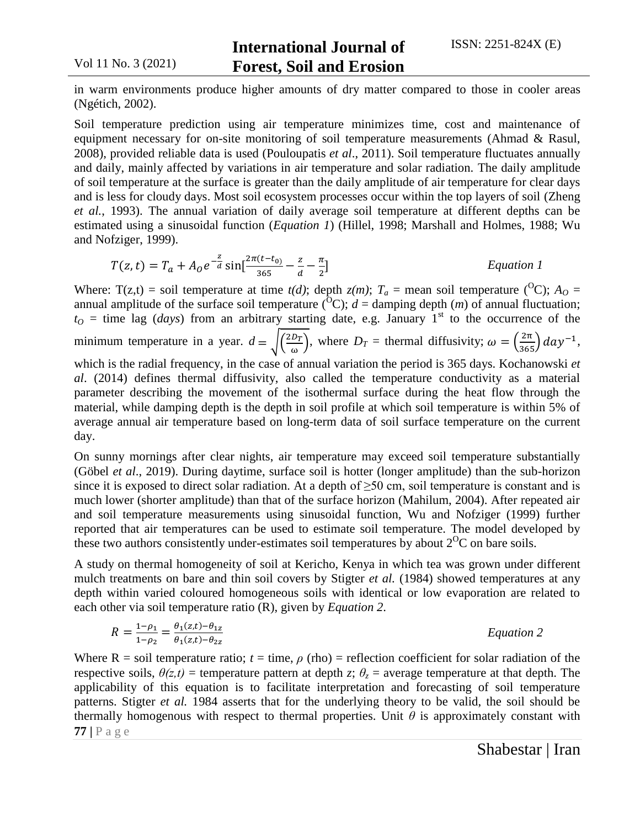in warm environments produce higher amounts of dry matter compared to those in cooler areas (Ngétich, 2002).

Soil temperature prediction using air temperature minimizes time, cost and maintenance of equipment necessary for on-site monitoring of soil temperature measurements (Ahmad & Rasul, 2008), provided reliable data is used (Pouloupatis *et al*., 2011). Soil temperature fluctuates annually and daily, mainly affected by variations in air temperature and solar radiation. The daily amplitude of soil temperature at the surface is greater than the daily amplitude of air temperature for clear days and is less for cloudy days. Most soil ecosystem processes occur within the top layers of soil (Zheng *et al.*, 1993). The annual variation of daily average soil temperature at different depths can be estimated using a sinusoidal function (*Equation 1*) (Hillel, 1998; Marshall and Holmes, 1988; Wu and Nofziger, 1999).

$$
T(z,t) = T_a + A_0 e^{-\frac{z}{d}} \sin[\frac{2\pi(t-t_0)}{365} - \frac{z}{d} - \frac{\pi}{2}]
$$
 *Equation 1*

Where:  $T(z,t) = \text{soil temperature at time } t(d)$ ; depth  $z(m)$ ;  $T_a = \text{mean soil temperature } ({}^O\text{C})$ ;  $A_O =$ annual amplitude of the surface soil temperature ( ${}^{0}C$ ); *d* = damping depth (*m*) of annual fluctuation;  $t<sub>O</sub>$  = time lag (*days*) from an arbitrary starting date, e.g. January 1<sup>st</sup> to the occurrence of the minimum temperature in a year.  $d = \sqrt{\frac{2}{l}}$  $\left(\frac{D_T}{\omega}\right)$ , where  $D_T$  = thermal diffusivity;  $\omega = \left(\frac{2\pi}{365}\right)$  day<sup>-1</sup>, which is the radial frequency, in the case of annual variation the period is 365 days. Kochanowski *et al*. (2014) defines thermal diffusivity, also called the temperature conductivity as a material parameter describing the movement of the isothermal surface during the heat flow through the

material, while damping depth is the depth in soil profile at which soil temperature is within 5% of average annual air temperature based on long-term data of soil surface temperature on the current day.

On sunny mornings after clear nights, air temperature may exceed soil temperature substantially (Göbel *et al*., 2019). During daytime, surface soil is hotter (longer amplitude) than the sub-horizon since it is exposed to direct solar radiation. At a depth of  $\geq 50$  cm, soil temperature is constant and is much lower (shorter amplitude) than that of the surface horizon (Mahilum, 2004). After repeated air and soil temperature measurements using sinusoidal function, Wu and Nofziger (1999) further reported that air temperatures can be used to estimate soil temperature. The model developed by these two authors consistently under-estimates soil temperatures by about  $2^{O}C$  on bare soils.

A study on thermal homogeneity of soil at Kericho, Kenya in which tea was grown under different mulch treatments on bare and thin soil covers by Stigter *et al.* (1984) showed temperatures at any depth within varied coloured homogeneous soils with identical or low evaporation are related to each other via soil temperature ratio (R), given by *Equation 2*.

$$
R = \frac{1 - \rho_1}{1 - \rho_2} = \frac{\theta_1(z, t) - \theta_{1z}}{\theta_1(z, t) - \theta_{2z}}
$$
 *Equation 2*

**77 |** P a g e Where  $R =$  soil temperature ratio;  $t =$  time,  $\rho$  (rho) = reflection coefficient for solar radiation of the respective soils,  $\theta(z,t)$  = temperature pattern at depth *z*;  $\theta_z$  = average temperature at that depth. The applicability of this equation is to facilitate interpretation and forecasting of soil temperature patterns. Stigter *et al.* 1984 asserts that for the underlying theory to be valid, the soil should be thermally homogenous with respect to thermal properties. Unit  $\theta$  is approximately constant with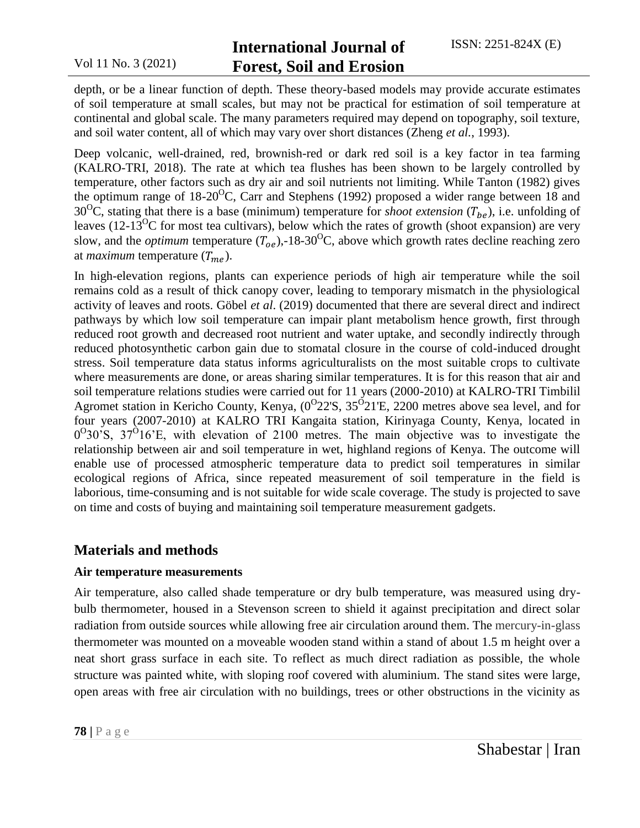# **International Journal of Forest, Soil and Erosion**

depth, or be a linear function of depth. These theory-based models may provide accurate estimates of soil temperature at small scales, but may not be practical for estimation of soil temperature at continental and global scale. The many parameters required may depend on topography, soil texture, and soil water content, all of which may vary over short distances (Zheng *et al.*, 1993).

Deep volcanic, well-drained, red, brownish-red or dark red soil is a key factor in tea farming (KALRO-TRI, 2018). The rate at which tea flushes has been shown to be largely controlled by temperature, other factors such as dry air and soil nutrients not limiting. While Tanton (1982) gives the optimum range of  $18{\text -}20^{\circ}$ C, Carr and Stephens (1992) proposed a wider range between 18 and 30<sup>o</sup>C, stating that there is a base (minimum) temperature for *shoot extension* ( $T_{be}$ ), i.e. unfolding of leaves (12-13<sup>o</sup>C for most tea cultivars), below which the rates of growth (shoot expansion) are very slow, and the *optimum* temperature  $(T_{oe})$ ,-18-30<sup>o</sup>C, above which growth rates decline reaching zero at *maximum* temperature  $(T_{me})$ .

In high-elevation regions, plants can experience periods of high air temperature while the soil remains cold as a result of thick canopy cover, leading to temporary mismatch in the physiological activity of leaves and roots. Göbel *et al*. (2019) documented that there are several direct and indirect pathways by which low soil temperature can impair plant metabolism hence growth, first through reduced root growth and decreased root nutrient and water uptake, and secondly indirectly through reduced photosynthetic carbon gain due to stomatal closure in the course of cold-induced drought stress. Soil temperature data status informs agriculturalists on the most suitable crops to cultivate where measurements are done, or areas sharing similar temperatures. It is for this reason that air and soil temperature relations studies were carried out for 11 years (2000-2010) at KALRO-TRI Timbilil Agromet station in Kericho County, Kenya,  $(0^{\circ}22^{\circ}S, 35^{\circ}21^{\circ}E, 2200$  metres above sea level, and for four years (2007-2010) at KALRO TRI Kangaita station, Kirinyaga County, Kenya, located in  $0^{\circ}30^{\circ}$ S,  $37^{\circ}16^{\circ}$ E, with elevation of 2100 metres. The main objective was to investigate the relationship between air and soil temperature in wet, highland regions of Kenya. The outcome will enable use of processed atmospheric temperature data to predict soil temperatures in similar ecological regions of Africa, since repeated measurement of soil temperature in the field is laborious, time-consuming and is not suitable for wide scale coverage. The study is projected to save on time and costs of buying and maintaining soil temperature measurement gadgets.

## **Materials and methods**

### **Air temperature measurements**

Air temperature, also called shade temperature or dry bulb temperature, was measured using drybulb thermometer, housed in a Stevenson screen to shield it against precipitation and direct solar radiation from outside sources while allowing free air circulation around them. The mercury-in-glass thermometer was mounted on a moveable wooden stand within a stand of about 1.5 m height over a neat short grass surface in each site. To reflect as much direct radiation as possible, the whole structure was painted white, with sloping roof covered with aluminium. The stand sites were large, open areas with free air circulation with no buildings, trees or other obstructions in the vicinity as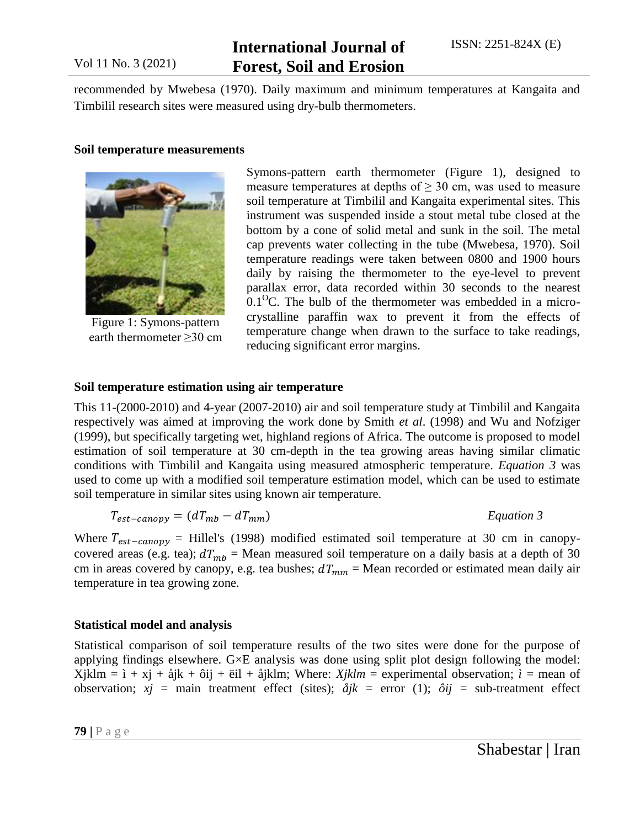# **International Journal of Forest, Soil and Erosion**

recommended by Mwebesa (1970). Daily maximum and minimum temperatures at Kangaita and Timbilil research sites were measured using dry-bulb thermometers.

#### **Soil temperature measurements**



Figure 1: Symons-pattern earth thermometer  $\geq$ 30 cm

Symons-pattern earth thermometer (Figure 1), designed to measure temperatures at depths of  $\geq$  30 cm, was used to measure soil temperature at Timbilil and Kangaita experimental sites. This instrument was suspended inside a stout metal tube closed at the bottom by a cone of solid metal and sunk in the soil. The metal cap prevents water collecting in the tube (Mwebesa, 1970). Soil temperature readings were taken between 0800 and 1900 hours daily by raising the thermometer to the eye-level to prevent parallax error, data recorded within 30 seconds to the nearest  $0.1<sup>0</sup>C$ . The bulb of the thermometer was embedded in a microcrystalline paraffin wax to prevent it from the effects of temperature change when drawn to the surface to take readings, reducing significant error margins.

#### **Soil temperature estimation using air temperature**

This 11-(2000-2010) and 4-year (2007-2010) air and soil temperature study at Timbilil and Kangaita respectively was aimed at improving the work done by Smith *et al*. (1998) and Wu and Nofziger (1999), but specifically targeting wet, highland regions of Africa. The outcome is proposed to model estimation of soil temperature at 30 cm-depth in the tea growing areas having similar climatic conditions with Timbilil and Kangaita using measured atmospheric temperature. *Equation 3* was used to come up with a modified soil temperature estimation model, which can be used to estimate soil temperature in similar sites using known air temperature.

$$
T_{est-canopy} = (dT_{mb} - dT_{mm})
$$
 *Equation 3*

Where  $T_{est-canopy}$  = Hillel's (1998) modified estimated soil temperature at 30 cm in canopycovered areas (e.g. tea);  $dT_{mb}$  = Mean measured soil temperature on a daily basis at a depth of 30 cm in areas covered by canopy, e.g. tea bushes;  $dT_{mm}$  = Mean recorded or estimated mean daily air temperature in tea growing zone.

#### **Statistical model and analysis**

Statistical comparison of soil temperature results of the two sites were done for the purpose of applying findings elsewhere. G×E analysis was done using split plot design following the model: Xjklm =  $i + xj + \hat{a}jk + \hat{b}ij + \hat{e}il + \hat{a}jklm$ ; Where: *Xjklm* = experimental observation;  $i =$  mean of observation;  $xj = \text{main}$  treatment effect (sites);  $\partial i k = \text{error}$  (1);  $\partial i j = \text{sub-treatment}$  effect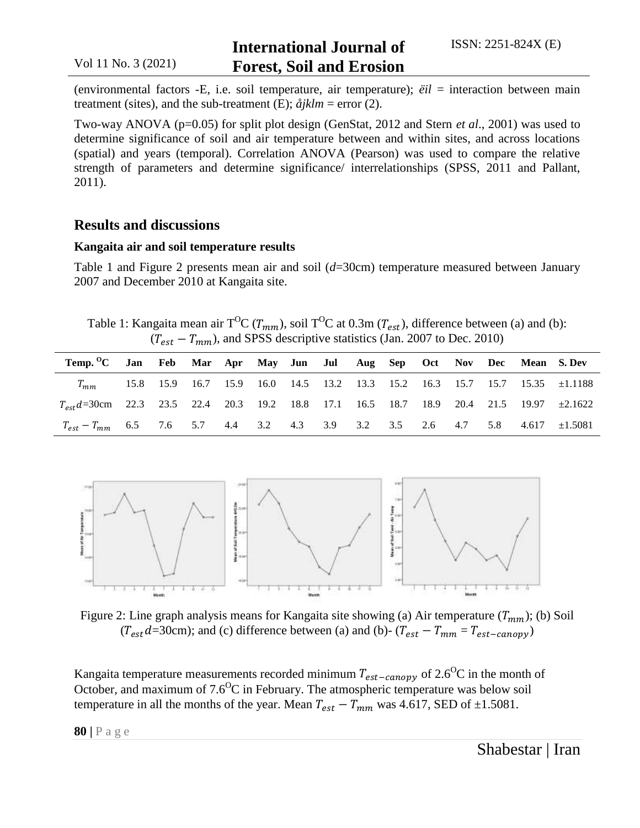(environmental factors -E, i.e. soil temperature, air temperature); *ëil* = interaction between main treatment (sites), and the sub-treatment (E);  $\hat{a}$ *jklm* = error (2).

Two-way ANOVA (p=0.05) for split plot design (GenStat, 2012 and Stern *et al*., 2001) was used to determine significance of soil and air temperature between and within sites, and across locations (spatial) and years (temporal). Correlation ANOVA (Pearson) was used to compare the relative strength of parameters and determine significance/ interrelationships (SPSS, 2011 and Pallant, 2011).

### **Results and discussions**

#### **Kangaita air and soil temperature results**

Table 1 and Figure 2 presents mean air and soil (*d*=30cm) temperature measured between January 2007 and December 2010 at Kangaita site.

Table 1: Kangaita mean air T<sup>O</sup>C ( $T_{mm}$ ), soil T<sup>O</sup>C at 0.3m ( $T_{est}$ ), difference between (a) and (b):  $(T_{est} - T_{mm})$ , and SPSS descriptive statistics (Jan. 2007 to Dec. 2010)

| Temp. <sup>O</sup> C Jan Feb Mar Apr May Jun Jul Aug Sep Oct Nov Dec Mean S. Dev                  |  |  |  |  |  |  |                                                                                |
|---------------------------------------------------------------------------------------------------|--|--|--|--|--|--|--------------------------------------------------------------------------------|
| $T_{mm}$                                                                                          |  |  |  |  |  |  | 15.8 15.9 16.7 15.9 16.0 14.5 13.2 13.3 15.2 16.3 15.7 15.7 15.35 $\pm 1.1188$ |
| $T_{est}d = 30$ cm 22.3 23.5 22.4 20.3 19.2 18.8 17.1 16.5 18.7 18.9 20.4 21.5 19.97 $\pm 2.1622$ |  |  |  |  |  |  |                                                                                |
| $T_{est} - T_{mm}$ 6.5 7.6 5.7 4.4 3.2 4.3 3.9 3.2 3.5 2.6 4.7 5.8 4.617 $\pm 1.5081$             |  |  |  |  |  |  |                                                                                |



Figure 2: Line graph analysis means for Kangaita site showing (a) Air temperature  $(T_{mm})$ ; (b) Soil  $(T_{est}d=30cm)$ ; and (c) difference between (a) and (b)-  $(T_{est} - T_{mm} = T_{est-canopy})$ 

Kangaita temperature measurements recorded minimum  $T_{est-canopy}$  of 2.6<sup>o</sup>C in the month of October, and maximum of  $7.6<sup>o</sup>C$  in February. The atmospheric temperature was below soil temperature in all the months of the year. Mean  $T_{est} - T_{mm}$  was 4.617, SED of  $\pm 1.5081$ .

**80 |** P a g e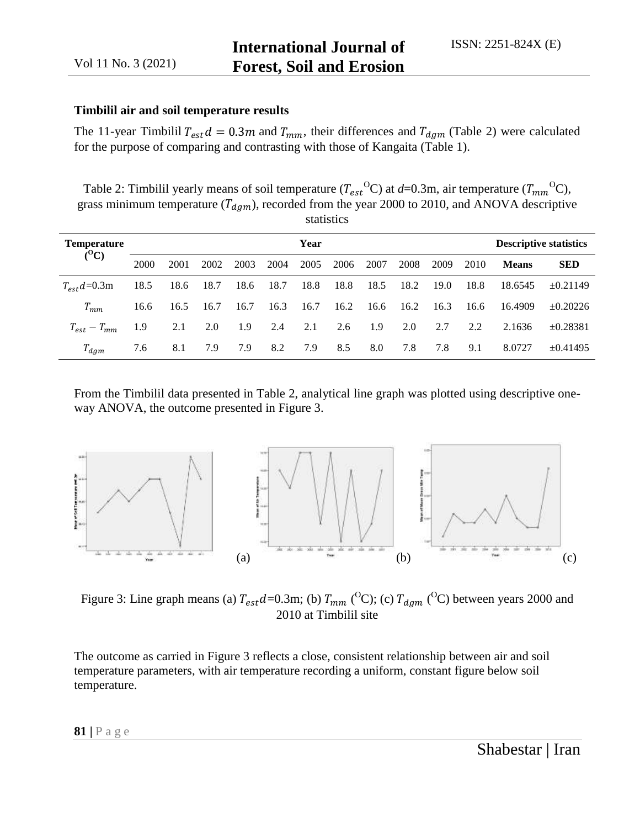#### **Timbilil air and soil temperature results**

The 11-year Timbilil  $T_{est}d = 0.3m$  and  $T_{mm}$ , their differences and  $T_{dgm}$  (Table 2) were calculated for the purpose of comparing and contrasting with those of Kangaita (Table 1).

Table 2: Timbilil yearly means of soil temperature  $(T_{est}^{\text{O}}C)$  at  $d=0.3$ m, air temperature  $(T_{mm}^{\text{O}}C)$ , grass minimum temperature  $(T_{\text{dgm}})$ , recorded from the year 2000 to 2010, and ANOVA descriptive statistics

| <b>Temperature</b><br>$(^0C)$ | Year |      |      |      |      |      |      |      |      | <b>Descriptive statistics</b> |      |              |               |
|-------------------------------|------|------|------|------|------|------|------|------|------|-------------------------------|------|--------------|---------------|
|                               | 2000 | 2001 | 2002 | 2003 | 2004 | 2005 | 2006 | 2007 | 2008 | 2009                          | 2010 | <b>Means</b> | <b>SED</b>    |
| $T_{est}d=0.3m$               | 18.5 | 18.6 | 18.7 | 18.6 | 18.7 | 18.8 | 18.8 | 18.5 | 18.2 | 19.0                          | 18.8 | 18.6545      | $\pm 0.21149$ |
| $T_{mm}$                      | 16.6 | 16.5 | 16.7 | 16.7 | 16.3 | 16.7 | 16.2 | 16.6 | 16.2 | 16.3                          | 16.6 | 16.4909      | $\pm 0.20226$ |
| $T_{est} - T_{mm}$            | 1.9  | 2.1  | 2.0  | 1.9  | 2.4  | 2.1  | 2.6  | 1.9  | 2.0  | 2.7                           | 2.2  | 2.1636       | $\pm 0.28381$ |
| $T_{dgm}$                     | 7.6  | 8.1  | 7.9  | 7.9  | 8.2  | 7.9  | 8.5  | 8.0  | 7.8  | 7.8                           | 9.1  | 8.0727       | $\pm 0.41495$ |

From the Timbilil data presented in Table 2, analytical line graph was plotted using descriptive oneway ANOVA, the outcome presented in Figure 3.



Figure 3: Line graph means (a)  $T_{est}d = 0.3$ m; (b)  $T_{mm}$  (<sup>O</sup>C); (c)  $T_{dam}$  (<sup>O</sup>C) between years 2000 and 2010 at Timbilil site

The outcome as carried in Figure 3 reflects a close, consistent relationship between air and soil temperature parameters, with air temperature recording a uniform, constant figure below soil temperature.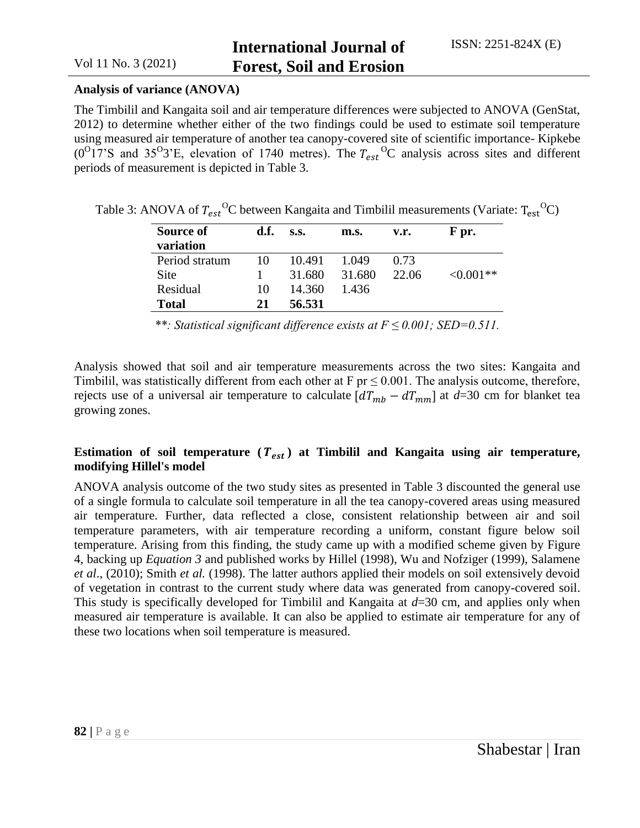#### **Analysis of variance (ANOVA)**

The Timbilil and Kangaita soil and air temperature differences were subjected to ANOVA (GenStat, 2012) to determine whether either of the two findings could be used to estimate soil temperature using measured air temperature of another tea canopy-covered site of scientific importance- Kipkebe  $(0^{\circ}17^{\circ}S$  and 35<sup>o</sup>3'E, elevation of 1740 metres). The  $T_{est}^{\circ}{}^{\circ}C$  analysis across sites and different periods of measurement is depicted in Table 3.

|  | Table 3: ANOVA of $T_{est}^{O}$ C between Kangaita and Timbilil measurements (Variate: $T_{est}^{O}$ C) |  |  |  |
|--|---------------------------------------------------------------------------------------------------------|--|--|--|
|--|---------------------------------------------------------------------------------------------------------|--|--|--|

| Source of<br>variation | d.f. | S.S.   | m.s.   | v.r.  | F pr.          |
|------------------------|------|--------|--------|-------|----------------|
| Period stratum         | 10   | 10.491 | 1.049  | 0.73  |                |
| Site                   |      | 31.680 | 31.680 | 22.06 | $\leq 0.001**$ |
| Residual               | 10   | 14.360 | 1.436  |       |                |
| <b>Total</b>           | 21   | 56.531 |        |       |                |

*<sup>\*\*:</sup> Statistical significant difference exists at F ≤ 0.001; SED=0.511.*

Analysis showed that soil and air temperature measurements across the two sites: Kangaita and Timbilil, was statistically different from each other at  $F pr \leq 0.001$ . The analysis outcome, therefore, rejects use of a universal air temperature to calculate  $\left[dT_{mb} - dT_{mm}\right]$  at  $d=30$  cm for blanket tea growing zones.

### Estimation of soil temperature  $(T_{est})$  at Timbilil and Kangaita using air temperature, **modifying Hillel's model**

ANOVA analysis outcome of the two study sites as presented in Table 3 discounted the general use of a single formula to calculate soil temperature in all the tea canopy-covered areas using measured air temperature. Further, data reflected a close, consistent relationship between air and soil temperature parameters, with air temperature recording a uniform, constant figure below soil temperature. Arising from this finding, the study came up with a modified scheme given by Figure 4, backing up *Equation 3* and published works by Hillel (1998), Wu and Nofziger (1999), Salamene *et al*., (2010); Smith *et al.* (1998). The latter authors applied their models on soil extensively devoid of vegetation in contrast to the current study where data was generated from canopy-covered soil. This study is specifically developed for Timbilil and Kangaita at *d*=30 cm, and applies only when measured air temperature is available. It can also be applied to estimate air temperature for any of these two locations when soil temperature is measured.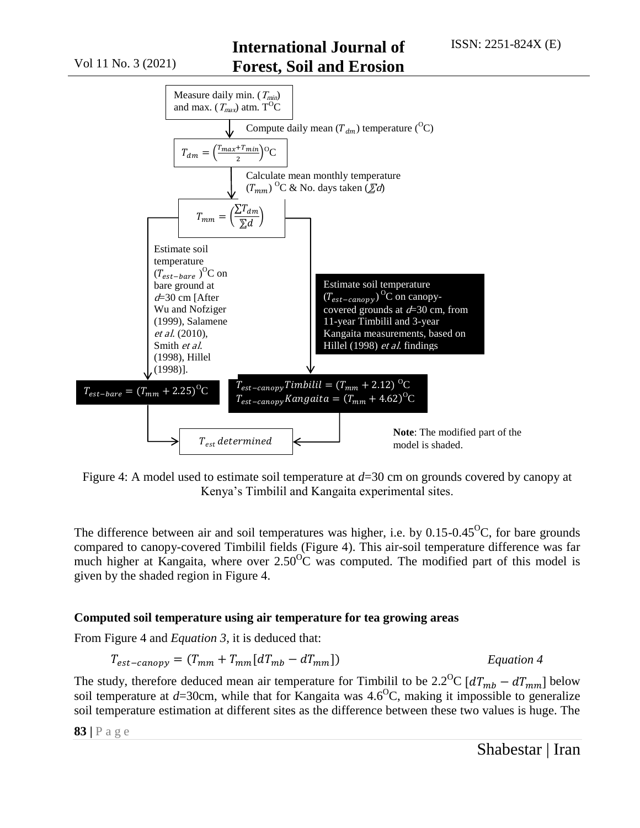

Figure 4: A model used to estimate soil temperature at *d*=30 cm on grounds covered by canopy at Kenya's Timbilil and Kangaita experimental sites.

The difference between air and soil temperatures was higher, i.e. by  $0.15$ - $0.45^{\circ}$ C, for bare grounds compared to canopy-covered Timbilil fields (Figure 4). This air-soil temperature difference was far much higher at Kangaita, where over  $2.50^{\circ}$ C was computed. The modified part of this model is given by the shaded region in Figure 4.

### **Computed soil temperature using air temperature for tea growing areas**

From Figure 4 and *Equation 3*, it is deduced that:

$$
T_{est-canopy} = (T_{mm} + T_{mm}[dT_{mb} - dT_{mm}])
$$
 *Equation 4*

The study, therefore deduced mean air temperature for Timbilil to be 2.2<sup>o</sup>C  $\left[ dT_{mb} - dT_{mm} \right]$  below soil temperature at  $d=30$ cm, while that for Kangaita was  $4.6^{\circ}$ C, making it impossible to generalize soil temperature estimation at different sites as the difference between these two values is huge. The

**83 |** P a g e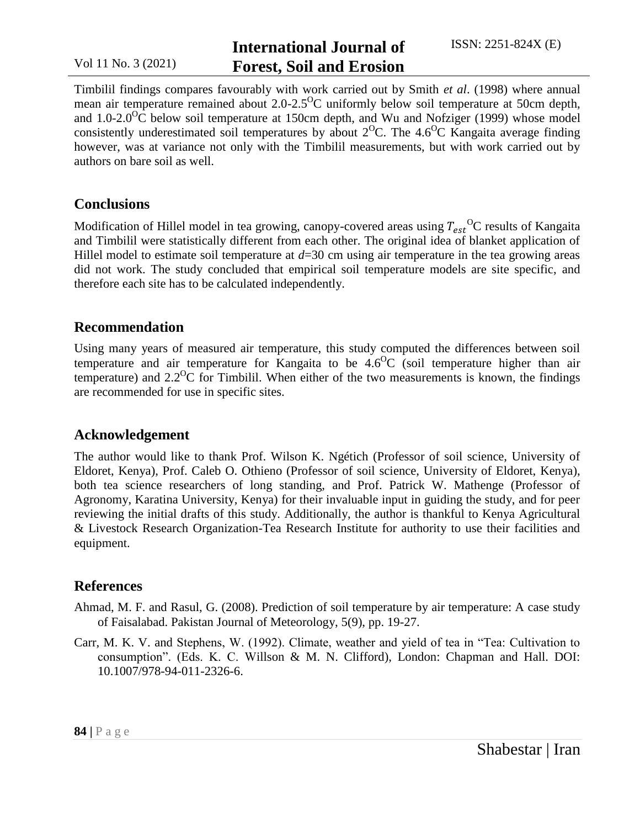# **International Journal of Forest, Soil and Erosion**

Timbilil findings compares favourably with work carried out by Smith *et al*. (1998) where annual mean air temperature remained about 2.0-2.5<sup>o</sup>C uniformly below soil temperature at 50cm depth, and 1.0-2.0<sup>o</sup>C below soil temperature at 150cm depth, and Wu and Nofziger (1999) whose model consistently underestimated soil temperatures by about  $2^{O}C$ . The 4.6<sup>o</sup>C Kangaita average finding however, was at variance not only with the Timbilil measurements, but with work carried out by authors on bare soil as well.

## **Conclusions**

Modification of Hillel model in tea growing, canopy-covered areas using  $T_{est}^{O}$ C results of Kangaita and Timbilil were statistically different from each other. The original idea of blanket application of Hillel model to estimate soil temperature at  $d=30$  cm using air temperature in the tea growing areas did not work. The study concluded that empirical soil temperature models are site specific, and therefore each site has to be calculated independently.

# **Recommendation**

Using many years of measured air temperature, this study computed the differences between soil temperature and air temperature for Kangaita to be  $4.6\degree C$  (soil temperature higher than air temperature) and  $2.2^{\circ}$ C for Timbilil. When either of the two measurements is known, the findings are recommended for use in specific sites.

# **Acknowledgement**

The author would like to thank Prof. Wilson K. Ngétich (Professor of soil science, University of Eldoret, Kenya), Prof. Caleb O. Othieno (Professor of soil science, University of Eldoret, Kenya), both tea science researchers of long standing, and Prof. Patrick W. Mathenge (Professor of Agronomy, Karatina University, Kenya) for their invaluable input in guiding the study, and for peer reviewing the initial drafts of this study. Additionally, the author is thankful to Kenya Agricultural & Livestock Research Organization-Tea Research Institute for authority to use their facilities and equipment.

# **References**

- Ahmad, M. F. and Rasul, G. (2008). Prediction of soil temperature by air temperature: A case study of Faisalabad. Pakistan Journal of Meteorology, 5(9), pp. 19-27.
- Carr, M. K. V. and Stephens, W. (1992). Climate, weather and yield of tea in "Tea: Cultivation to consumption". (Eds. K. C. Willson & M. N. Clifford), London: Chapman and Hall. DOI: 10.1007/978-94-011-2326-6.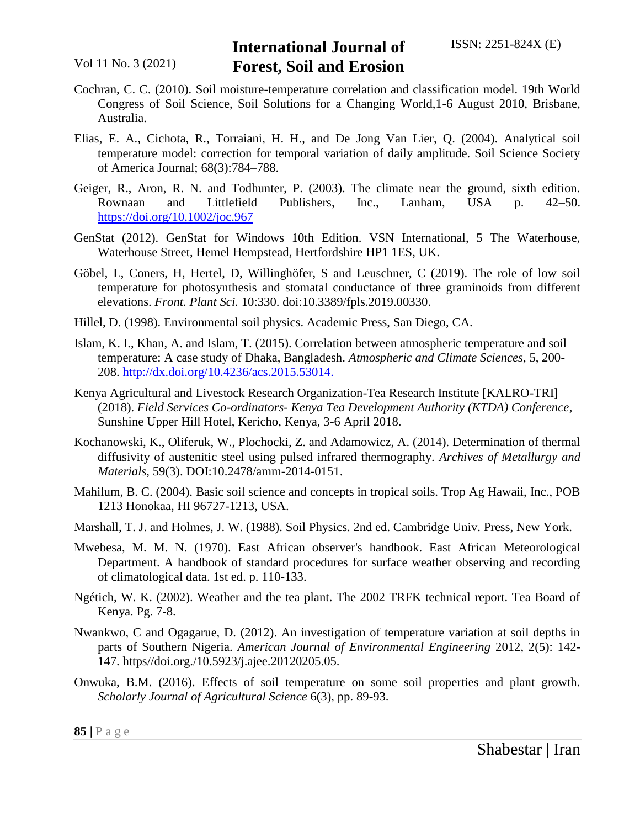- Cochran, C. C. (2010). Soil moisture-temperature correlation and classification model. 19th World Congress of Soil Science, Soil Solutions for a Changing World,1-6 August 2010, Brisbane, Australia.
- Elias, E. A., Cichota, R., Torraiani, H. H., and De Jong Van Lier, Q. (2004). Analytical soil temperature model: correction for temporal variation of daily amplitude. Soil Science Society of America Journal; 68(3):784–788.
- Geiger, R., Aron, R. N. and Todhunter, P. (2003). The climate near the ground, sixth edition. Rownaan and Littlefield Publishers, Inc., Lanham, USA p. 42–50. <https://doi.org/10.1002/joc.967>
- GenStat (2012). GenStat for Windows 10th Edition. VSN International, 5 The Waterhouse, Waterhouse Street, Hemel Hempstead, Hertfordshire HP1 1ES, UK.
- Göbel, L, Coners, H, Hertel, D, Willinghöfer, S and Leuschner, C (2019). The role of low soil temperature for photosynthesis and stomatal conductance of three graminoids from different elevations. *Front. Plant Sci.* 10:330. doi:10.3389/fpls.2019.00330.
- Hillel, D. (1998). Environmental soil physics. Academic Press, San Diego, CA.
- Islam, K. I., Khan, A. and Islam, T. (2015). Correlation between atmospheric temperature and soil temperature: A case study of Dhaka, Bangladesh. *Atmospheric and Climate Sciences*, 5, 200- 208. [http://dx.doi.org/10.4236/acs.2015.53014.](http://dx.doi.org/10.4236/acs.2015.53014)
- Kenya Agricultural and Livestock Research Organization-Tea Research Institute [KALRO-TRI] (2018). *Field Services Co-ordinators- Kenya Tea Development Authority (KTDA) Conference*, Sunshine Upper Hill Hotel, Kericho, Kenya, 3-6 April 2018.
- Kochanowski, K., Oliferuk, W., Plochocki, Z. and Adamowicz, A. (2014). Determination of thermal diffusivity of austenitic steel using pulsed infrared thermography. *Archives of Metallurgy and Materials*, 59(3). DOI:10.2478/amm-2014-0151.
- Mahilum, B. C. (2004). Basic soil science and concepts in tropical soils. Trop Ag Hawaii, Inc., POB 1213 Honokaa, HI 96727-1213, USA.
- Marshall, T. J. and Holmes, J. W. (1988). Soil Physics. 2nd ed. Cambridge Univ. Press, New York.
- Mwebesa, M. M. N. (1970). East African observer's handbook. East African Meteorological Department. A handbook of standard procedures for surface weather observing and recording of climatological data. 1st ed. p. 110-133.
- Ngétich, W. K. (2002). Weather and the tea plant. The 2002 TRFK technical report. Tea Board of Kenya. Pg. 7-8.
- Nwankwo, C and Ogagarue, D. (2012). An investigation of temperature variation at soil depths in parts of Southern Nigeria. *American Journal of Environmental Engineering* 2012, 2(5): 142- 147. https//doi.org./10.5923/j.ajee.20120205.05.
- Onwuka, B.M. (2016). Effects of soil temperature on some soil properties and plant growth. *Scholarly Journal of Agricultural Science* 6(3), pp. 89-93.